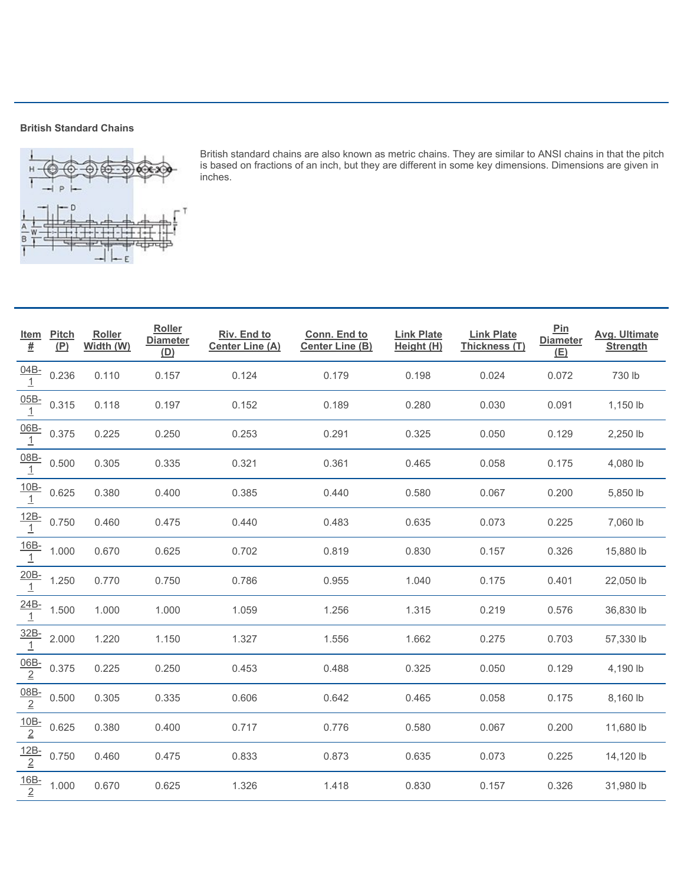## **British Standard Chains**



|                                 |                                                                                                                          | <b>British Standard Chains</b>             |                                  |                                                                                                                                                                                                                                   |                                        |                                 |                                    |                               |                                         |  |  |
|---------------------------------|--------------------------------------------------------------------------------------------------------------------------|--------------------------------------------|----------------------------------|-----------------------------------------------------------------------------------------------------------------------------------------------------------------------------------------------------------------------------------|----------------------------------------|---------------------------------|------------------------------------|-------------------------------|-----------------------------------------|--|--|
| в                               | $\circ$                                                                                                                  | $\Theta$ - $\Theta$ ) (c) - $\Theta$ ) (c) | حريەتريە                         | British standard chains are also known as metric chains. They are similar to ANSI chains in that the pitch<br>is based on fractions of an inch, but they are different in some key dimensions. Dimensions are given in<br>inches. |                                        |                                 |                                    |                               |                                         |  |  |
| <u>Item</u><br>$\underline{\#}$ | <b>Pitch</b><br>(P)                                                                                                      | Roller<br>Width (W)                        | Roller<br><b>Diameter</b><br>(D) | Riv. End to<br><b>Center Line (A)</b>                                                                                                                                                                                             | Conn. End to<br><b>Center Line (B)</b> | <b>Link Plate</b><br>Height (H) | <b>Link Plate</b><br>Thickness (T) | Pin<br><b>Diameter</b><br>(E) | <b>Avg. Ultimate</b><br><b>Strength</b> |  |  |
| $\frac{04B}{1}$                 | 0.236                                                                                                                    | 0.110                                      | 0.157                            | 0.124                                                                                                                                                                                                                             | 0.179                                  | 0.198                           | 0.024                              | 0.072                         | 730 lb                                  |  |  |
| $\frac{05B}{1}$                 | 0.315                                                                                                                    | 0.118                                      | 0.197                            | 0.152                                                                                                                                                                                                                             | 0.189                                  | 0.280                           | 0.030                              | 0.091                         | 1,150 lb                                |  |  |
| $\frac{06B}{1}$                 | 0.375                                                                                                                    | 0.225                                      | 0.250                            | 0.253                                                                                                                                                                                                                             | 0.291                                  | 0.325                           | 0.050                              | 0.129                         | 2,250 lb                                |  |  |
| $\frac{08B}{1}$                 | 0.500                                                                                                                    | 0.305                                      | 0.335                            | 0.321                                                                                                                                                                                                                             | 0.361                                  | 0.465                           | 0.058                              | 0.175                         | 4,080 lb                                |  |  |
| $\frac{10B}{1}$                 | 0.625                                                                                                                    | 0.380                                      | 0.400                            | 0.385                                                                                                                                                                                                                             | 0.440                                  | 0.580                           | 0.067                              | 0.200                         | 5,850 lb                                |  |  |
| $\frac{12B}{1}$                 | 0.750                                                                                                                    | 0.460                                      | 0.475                            | 0.440                                                                                                                                                                                                                             | 0.483                                  | 0.635                           | 0.073                              | 0.225                         | 7,060 lb                                |  |  |
|                                 | $\frac{16B}{1}$ 1.000                                                                                                    | 0.670                                      | 0.625                            | 0.702                                                                                                                                                                                                                             | 0.819                                  | 0.830                           | 0.157                              | 0.326                         | 15,880 lb                               |  |  |
|                                 | $\frac{20B}{1}$ 1.250                                                                                                    | 0.770                                      | 0.750                            | 0.786                                                                                                                                                                                                                             | 0.955                                  | 1.040                           | 0.175                              | 0.401                         | 22,050 lb                               |  |  |
|                                 | $\frac{24B}{1}$ 1.500                                                                                                    | 1.000                                      | 1.000                            | 1.059                                                                                                                                                                                                                             | 1.256                                  | 1.315                           | 0.219                              | 0.576                         | 36,830 lb                               |  |  |
|                                 | $\frac{32B}{1}$ 2.000                                                                                                    | 1.220                                      | 1.150                            | 1.327                                                                                                                                                                                                                             | 1.556                                  | 1.662                           | 0.275                              | 0.703                         | 57,330 lb                               |  |  |
|                                 | $\frac{06B}{2}$ 0.375                                                                                                    | 0.225                                      | 0.250                            | 0.453                                                                                                                                                                                                                             | 0.488                                  | 0.325                           | 0.050                              | 0.129                         | 4,190 lb                                |  |  |
|                                 | $\frac{08B}{2}$ 0.500                                                                                                    | 0.305                                      | 0.335                            | 0.606                                                                                                                                                                                                                             | 0.642                                  | 0.465                           | 0.058                              | 0.175                         | 8,160 lb                                |  |  |
|                                 |                                                                                                                          | 0.380                                      | 0.400                            | 0.717                                                                                                                                                                                                                             | 0.776                                  | 0.580                           | 0.067                              | 0.200                         | 11,680 lb                               |  |  |
|                                 | $\begin{array}{r l}\n\hline\n10B & 0.625 \\ \hline\n\frac{12B}{2} & 0.750 \\ \hline\n\frac{16B}{2} & 1.000\n\end{array}$ | 0.460                                      | 0.475                            | 0.833                                                                                                                                                                                                                             | 0.873                                  | 0.635                           | 0.073                              | 0.225                         | 14,120 lb                               |  |  |
|                                 |                                                                                                                          | 0.670                                      | 0.625                            | 1.326                                                                                                                                                                                                                             | 1.418                                  | 0.830                           | 0.157                              | 0.326                         | 31,980 lb                               |  |  |
|                                 |                                                                                                                          |                                            |                                  |                                                                                                                                                                                                                                   |                                        |                                 |                                    |                               |                                         |  |  |